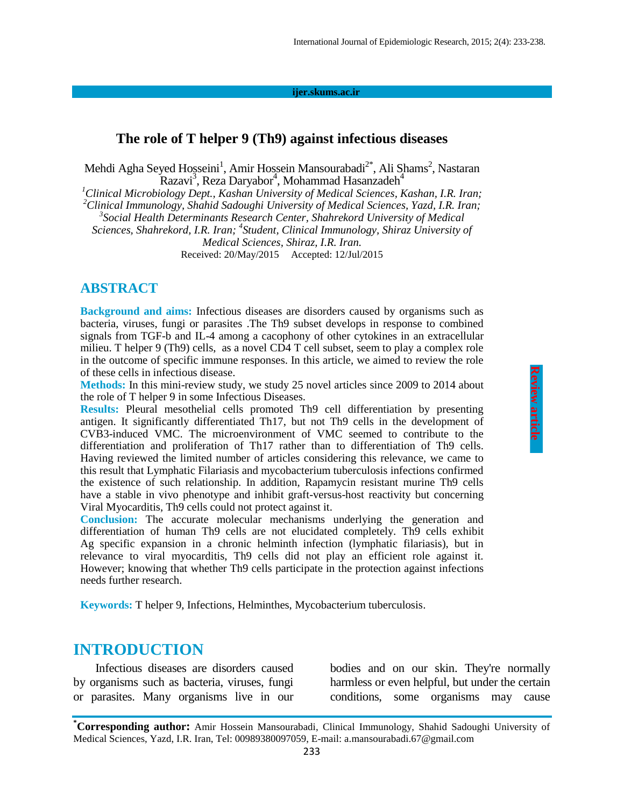#### **ijer.skums.ac.ir**

#### **The role of T helper 9 (Th9) against infectious diseases**

Mehdi Agha Seyed Hosseini<sup>1</sup>, Amir Hossein Mansourabadi<sup>2\*</sup>, Ali Shams<sup>2</sup>, Nastaran Razavi<sup>3</sup>, Reza Daryabor<sup>4</sup>, Mohammad Hasanzadeh<sup>4</sup>

*<sup>1</sup>Clinical Microbiology Dept., Kashan University of Medical Sciences, Kashan, I.R. Iran;* 

*<sup>2</sup>Clinical Immunology, Shahid Sadoughi University of Medical Sciences, Yazd, I.R. Iran; 3 Social Health Determinants Research Center, Shahrekord University of Medical* 

*Sciences, Shahrekord, I.R. Iran;* <sup>4</sup> Student, Clinical Immunology, Shiraz University of

*Medical Sciences, Shiraz, I.R. Iran.*

Received: 20/May/2015 Accepted: 12/Jul/2015

### **ABSTRACT**

**Background and aims:** Infectious diseases are disorders caused by organisms such as bacteria, viruses, fungi or parasites .The Th9 subset develops in response to combined signals from TGF-b and IL-4 among a cacophony of other cytokines in an extracellular milieu. T helper 9 (Th9) cells, as a novel CD4 T cell subset, seem to play a complex role in the outcome of specific immune responses. In this article, we aimed to review the role of these cells in infectious disease.

**Methods:** In this mini-review study, we study 25 novel articles since 2009 to 2014 about the role of T helper 9 in some Infectious Diseases.

**Results:** Pleural mesothelial cells promoted Th9 cell differentiation by presenting antigen. It significantly differentiated Th17, but not Th9 cells in the development of CVB3-induced VMC. The microenvironment of VMC seemed to contribute to the differentiation and proliferation of Th17 rather than to differentiation of Th9 cells. Having reviewed the limited number of articles considering this relevance, we came to this result that Lymphatic Filariasis and mycobacterium tuberculosis infections confirmed the existence of such relationship. In addition, Rapamycin resistant murine Th9 cells have a stable in vivo phenotype and inhibit graft-versus-host reactivity but concerning Viral Myocarditis, Th9 cells could not protect against it.

**Conclusion:** The accurate molecular mechanisms underlying the generation and differentiation of human Th9 cells are not elucidated completely. Th9 cells exhibit Ag specific expansion in a chronic helminth infection (lymphatic filariasis), but in relevance to viral myocarditis, Th9 cells did not play an efficient role against it. However; knowing that whether Th9 cells participate in the protection against infections needs further research.

**Keywords:** T helper 9, Infections, Helminthes, Mycobacterium tuberculosis.

### **INTRODUCTION**

Infectious diseases are disorders caused by organisms such as bacteria, viruses, fungi or parasites. Many organisms live in our bodies and on our skin. They're normally harmless or even helpful, but under the certain conditions, some organisms may cause

**<sup>\*</sup>Corresponding author:** Amir Hossein Mansourabadi, Clinical Immunology, Shahid Sadoughi University of Medical Sciences, Yazd, I.R. Iran, Tel: 00989380097059, E-mail: a.mansourabadi.67@gmail.com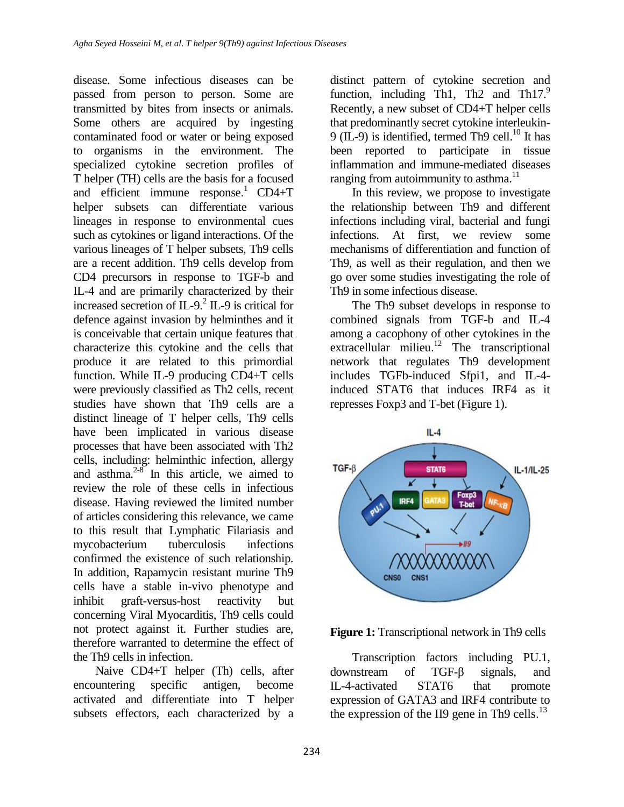disease. Some infectious diseases can be passed from person to person. Some are transmitted by bites from insects or animals. Some others are acquired by ingesting contaminated food or water or being exposed to organisms in the environment. The specialized cytokine secretion profiles of T helper (TH) cells are the basis for a focused and efficient immune response. <sup>1</sup> CD4+T helper subsets can differentiate various lineages in response to environmental cues such as cytokines or ligand interactions. Of the various lineages of T helper subsets, Th9 cells are a recent addition. Th9 cells develop from CD4 precursors in response to TGF-b and IL-4 and are primarily characterized by their increased secretion of IL-9. 2 IL-9 is critical for defence against invasion by helminthes and it is conceivable that certain unique features that characterize this cytokine and the cells that produce it are related to this primordial function. While IL-9 producing CD4+T cells were previously classified as Th2 cells, recent studies have shown that Th9 cells are a distinct lineage of T helper cells, Th9 cells have been implicated in various disease processes that have been associated with Th2 cells, including: helminthic infection, allergy and asthma. $2-8$  In this article, we aimed to review the role of these cells in infectious disease. Having reviewed the limited number of articles considering this relevance, we came to this result that Lymphatic Filariasis and mycobacterium tuberculosis infections confirmed the existence of such relationship. In addition, Rapamycin resistant murine Th9 cells have a stable in-vivo phenotype and inhibit graft-versus-host reactivity but concerning Viral Myocarditis, Th9 cells could not protect against it. Further studies are, therefore warranted to determine the effect of the Th9 cells in infection.

Naive CD4+T helper (Th) cells, after encountering specific antigen, become activated and differentiate into T helper subsets effectors, each characterized by a

distinct pattern of cytokine secretion and function, including Th1, Th2 and Th17.<sup>9</sup> Recently, a new subset of CD4+T helper cells that predominantly secret cytokine interleukin- $9$  (IL-9) is identified, termed Th9 cell.<sup>10</sup> It has been reported to participate in tissue inflammation and immune-mediated diseases ranging from autoimmunity to asthma.<sup>11</sup>

In this review, we propose to investigate the relationship between Th9 and different infections including viral, bacterial and fungi infections. At first, we review some mechanisms of differentiation and function of Th9, as well as their regulation, and then we go over some studies investigating the role of Th9 in some infectious disease.

The Th9 subset develops in response to combined signals from TGF-b and IL-4 among a cacophony of other cytokines in the extracellular milieu.<sup>12</sup> The transcriptional network that regulates Th9 development includes TGFb-induced Sfpi1, and IL-4 induced STAT6 that induces IRF4 as it represses Foxp3 and T-bet (Figure 1).



**Figure 1:** Transcriptional network in Th9 cells

Transcription factors including PU.1, downstream of TGF-β signals, and IL-4-activated STAT6 that promote expression of GATA3 and IRF4 contribute to the expression of the II9 gene in Th9 cells.<sup>13</sup>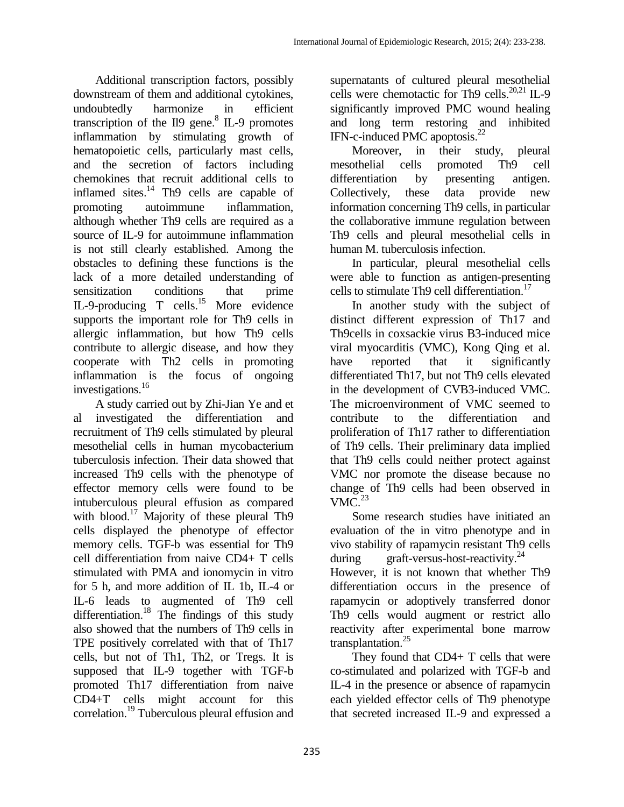Additional transcription factors, possibly downstream of them and additional cytokines, undoubtedly harmonize in efficient transcription of the II9 gene. $8$  IL-9 promotes inflammation by stimulating growth of hematopoietic cells, particularly mast cells, and the secretion of factors including chemokines that recruit additional cells to inflamed sites.<sup>14</sup> Th9 cells are capable of promoting autoimmune inflammation, although whether Th9 cells are required as a source of IL-9 for autoimmune inflammation is not still clearly established. Among the obstacles to defining these functions is the lack of a more detailed understanding of sensitization conditions that prime IL-9-producing T cells.<sup>15</sup> More evidence supports the important role for Th9 cells in allergic inflammation, but how Th9 cells contribute to allergic disease, and how they cooperate with Th2 cells in promoting inflammation is the focus of ongoing investigations. 16

A study carried out by Zhi-Jian Ye and et al investigated the differentiation and recruitment of Th9 cells stimulated by pleural mesothelial cells in human mycobacterium tuberculosis infection. Their data showed that increased Th9 cells with the phenotype of effector memory cells were found to be intuberculous pleural effusion as compared with blood.<sup>17</sup> Majority of these pleural Th9 cells displayed the phenotype of effector memory cells. TGF-b was essential for Th9 cell differentiation from naive CD4+ T cells stimulated with PMA and ionomycin in vitro for 5 h, and more addition of IL 1b, IL-4 or IL-6 leads to augmented of Th9 cell differentiation.<sup>18</sup> The findings of this study also showed that the numbers of Th9 cells in TPE positively correlated with that of Th17 cells, but not of Th1, Th2, or Tregs. It is supposed that IL-9 together with TGF-b promoted Th17 differentiation from naive CD4+T cells might account for this correlation. <sup>19</sup> Tuberculous pleural effusion and supernatants of cultured pleural mesothelial cells were chemotactic for Th9 cells. 20,21 IL-9 significantly improved PMC wound healing and long term restoring and inhibited IFN-c-induced PMC apoptosis. 22

Moreover, in their study, pleural mesothelial cells promoted Th9 cell differentiation by presenting antigen. Collectively, these data provide new information concerning Th9 cells, in particular the collaborative immune regulation between Th9 cells and pleural mesothelial cells in human M. tuberculosis infection.

In particular, pleural mesothelial cells were able to function as antigen-presenting cells to stimulate Th9 cell differentiation. 17

In another study with the subject of distinct different expression of Th17 and Th9cells in coxsackie virus B3-induced mice viral myocarditis (VMC), Kong Qing et al. have reported that it significantly differentiated Th17, but not Th9 cells elevated in the development of CVB3-induced VMC. The microenvironment of VMC seemed to contribute to the differentiation and proliferation of Th17 rather to differentiation of Th9 cells. Their preliminary data implied that Th9 cells could neither protect against VMC nor promote the disease because no change of Th9 cells had been observed in  $VMC.<sup>23</sup>$ 

Some research studies have initiated an evaluation of the in vitro phenotype and in vivo stability of rapamycin resistant Th9 cells during graft-versus-host-reactivity.<sup>24</sup> However, it is not known that whether Th9 differentiation occurs in the presence of rapamycin or adoptively transferred donor Th9 cells would augment or restrict allo reactivity after experimental bone marrow transplantation. 25

They found that CD4+ T cells that were co-stimulated and polarized with TGF-b and IL-4 in the presence or absence of rapamycin each yielded effector cells of Th9 phenotype that secreted increased IL-9 and expressed a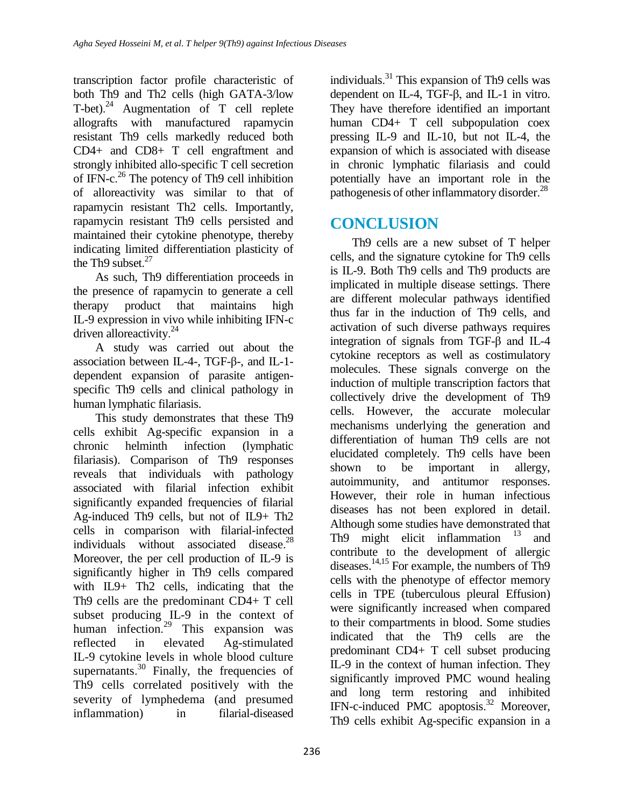transcription factor profile characteristic of both Th9 and Th2 cells (high GATA-3/low T-bet).<sup>24</sup> Augmentation of T cell replete allografts with manufactured rapamycin resistant Th9 cells markedly reduced both CD4+ and CD8+ T cell engraftment and strongly inhibited allo-specific T cell secretion of IFN-c. <sup>26</sup> The potency of Th9 cell inhibition of alloreactivity was similar to that of rapamycin resistant Th2 cells. Importantly, rapamycin resistant Th9 cells persisted and maintained their cytokine phenotype, thereby indicating limited differentiation plasticity of the Th9 subset. $27$ 

As such, Th9 differentiation proceeds in the presence of rapamycin to generate a cell therapy product that maintains high IL-9 expression in vivo while inhibiting IFN-c driven alloreactivity.<sup>24</sup>

A study was carried out about the association between IL-4-, TGF-β-, and IL-1 dependent expansion of parasite antigenspecific Th9 cells and clinical pathology in human lymphatic filariasis.

This study demonstrates that these Th9 cells exhibit Ag-specific expansion in a chronic helminth infection (lymphatic filariasis). Comparison of Th9 responses reveals that individuals with pathology associated with filarial infection exhibit significantly expanded frequencies of filarial Ag-induced Th9 cells, but not of IL9+ Th2 cells in comparison with filarial-infected individuals without associated disease. 28 Moreover, the per cell production of IL-9 is significantly higher in Th9 cells compared with IL9+ Th2 cells, indicating that the Th9 cells are the predominant CD4+ T cell subset producing IL-9 in the context of human infection. <sup>29</sup> This expansion was reflected in elevated Ag-stimulated IL-9 cytokine levels in whole blood culture supernatants. $30$  Finally, the frequencies of Th9 cells correlated positively with the severity of lymphedema (and presumed inflammation) in filarial-diseased

individuals.<sup>31</sup> This expansion of Th9 cells was dependent on IL-4, TGF-β, and IL-1 in vitro. They have therefore identified an important human CD4+ T cell subpopulation coex pressing IL-9 and IL-10, but not IL-4, the expansion of which is associated with disease in chronic lymphatic filariasis and could potentially have an important role in the pathogenesis of other inflammatory disorder.<sup>28</sup>

# **CONCLUSION**

Th9 cells are a new subset of T helper cells, and the signature cytokine for Th9 cells is IL-9. Both Th9 cells and Th9 products are implicated in multiple disease settings. There are different molecular pathways identified thus far in the induction of Th9 cells, and activation of such diverse pathways requires integration of signals from TGF-β and IL-4 cytokine receptors as well as costimulatory molecules. These signals converge on the induction of multiple transcription factors that collectively drive the development of Th9 cells. However, the accurate molecular mechanisms underlying the generation and differentiation of human Th9 cells are not elucidated completely. Th9 cells have been shown to be important in allergy, autoimmunity, and antitumor responses. However, their role in human infectious diseases has not been explored in detail. Although some studies have demonstrated that Th9 might elicit inflammation  $13$  and contribute to the development of allergic diseases. 14,15 For example, the numbers of Th9 cells with the phenotype of effector memory cells in TPE (tuberculous pleural Effusion) were significantly increased when compared to their compartments in blood. Some studies indicated that the Th9 cells are the predominant CD4+ T cell subset producing IL-9 in the context of human infection. They significantly improved PMC wound healing and long term restoring and inhibited IFN-c-induced PMC apoptosis. <sup>32</sup> Moreover, Th9 cells exhibit Ag-specific expansion in a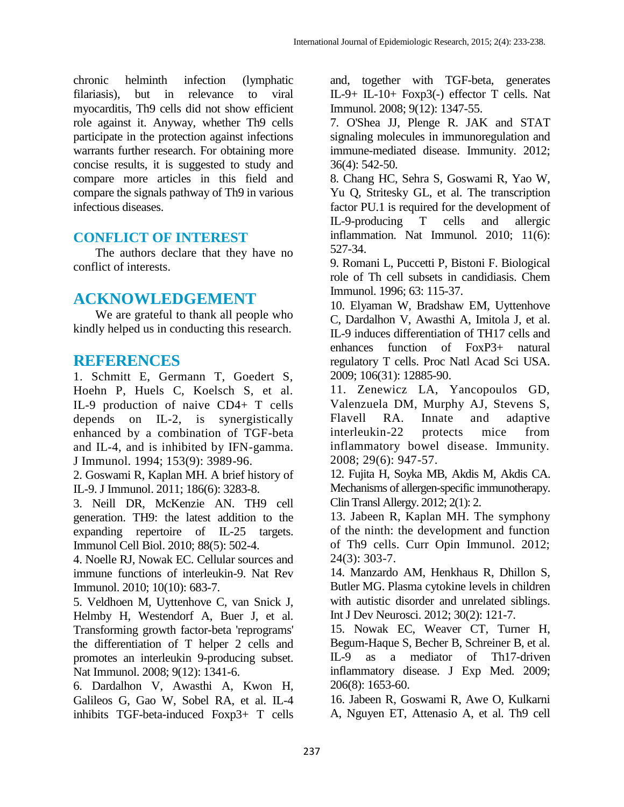chronic helminth infection (lymphatic filariasis), but in relevance to viral myocarditis, Th9 cells did not show efficient role against it. Anyway, whether Th9 cells participate in the protection against infections warrants further research. For obtaining more concise results, it is suggested to study and compare more articles in this field and compare the signals pathway of Th9 in various infectious diseases.

## **CONFLICT OF INTEREST**

The authors declare that they have no conflict of interests.

## **ACKNOWLEDGEMENT**

We are grateful to thank all people who kindly helped us in conducting this research.

## **REFERENCES**

1. Schmitt E, Germann T, Goedert S, Hoehn P, Huels C, Koelsch S, et al. IL-9 production of naive CD4+ T cells depends on IL-2, is synergistically enhanced by a combination of TGF-beta and IL-4, and is inhibited by IFN-gamma. J Immunol. 1994; 153(9): 3989-96.

2. Goswami R, Kaplan MH. A brief history of IL-9. J Immunol. 2011; 186(6): 3283-8.

3. Neill DR, McKenzie AN. TH9 cell generation. TH9: the latest addition to the expanding repertoire of IL-25 targets. Immunol Cell Biol. 2010; 88(5): 502-4.

4. Noelle RJ, Nowak EC. Cellular sources and immune functions of interleukin-9. Nat Rev Immunol. 2010; 10(10): 683-7.

5. Veldhoen M, Uyttenhove C, van Snick J, Helmby H, Westendorf A, Buer J, et al. Transforming growth factor-beta 'reprograms' the differentiation of T helper 2 cells and promotes an interleukin 9-producing subset. Nat Immunol. 2008; 9(12): 1341-6.

6. Dardalhon V, Awasthi A, Kwon H, Galileos G, Gao W, Sobel RA, et al. IL-4 inhibits TGF-beta-induced Foxp3+ T cells and, together with TGF-beta, generates IL-9+ IL-10+ Foxp3(-) effector T cells. Nat Immunol. 2008; 9(12): 1347-55.

7. O'Shea JJ, Plenge R. JAK and STAT signaling molecules in immunoregulation and immune-mediated disease. Immunity. 2012; 36(4): 542-50.

8. Chang HC, Sehra S, Goswami R, Yao W, Yu Q, Stritesky GL, et al. The transcription factor PU.1 is required for the development of IL-9-producing T cells and allergic inflammation. Nat Immunol. 2010; 11(6): 527-34.

9. Romani L, Puccetti P, Bistoni F. Biological role of Th cell subsets in candidiasis. Chem Immunol. 1996; 63: 115-37.

10. Elyaman W, Bradshaw EM, Uyttenhove C, Dardalhon V, Awasthi A, Imitola J, et al. IL-9 induces differentiation of TH17 cells and enhances function of FoxP3+ natural regulatory T cells. Proc Natl Acad Sci USA. 2009; 106(31): 12885-90.

11. Zenewicz LA, Yancopoulos GD, Valenzuela DM, Murphy AJ, Stevens S, Flavell RA. Innate and adaptive interleukin-22 protects mice from inflammatory bowel disease. Immunity. 2008; 29(6): 947-57.

12. Fujita H, Soyka MB, Akdis M, Akdis CA. Mechanisms of allergen-specific immunotherapy. Clin Transl Allergy. 2012; 2(1): 2.

13. Jabeen R, Kaplan MH. The symphony of the ninth: the development and function of Th9 cells. Curr Opin Immunol. 2012; 24(3): 303-7.

14. Manzardo AM, Henkhaus R, Dhillon S, Butler MG. Plasma cytokine levels in children with autistic disorder and unrelated siblings. Int J Dev Neurosci. 2012; 30(2): 121-7.

15. Nowak EC, Weaver CT, Turner H, Begum-Haque S, Becher B, Schreiner B, et al. IL-9 as a mediator of Th17-driven inflammatory disease. J Exp Med. 2009; 206(8): 1653-60.

16. Jabeen R, Goswami R, Awe O, Kulkarni A, Nguyen ET, Attenasio A, et al. Th9 cell